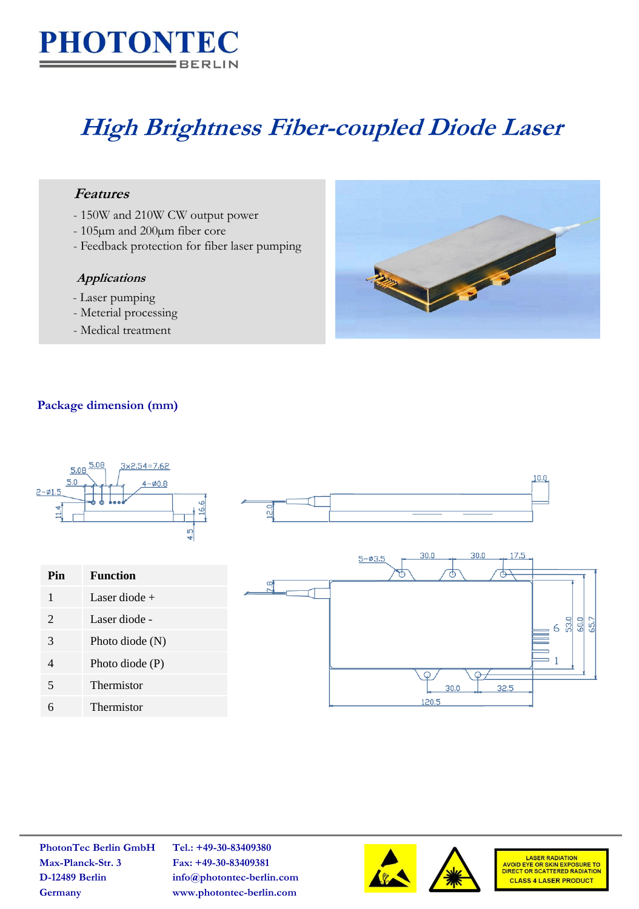

# **High Brightness Fiber-coupled Diode Laser**

## **Features**

- 150W and 210W CW output power
- 105µm and 200µm fiber core
- Feedback protection for fiber laser pumping

#### **Applications**

- Laser pumping
- Meterial processing
- Medical treatment



## **Package dimension (mm)**



**PhotonTec Berlin GmbH Tel.: +49-30-83409380 Max-Planck-Str. 3 Fax: +49-30-83409381**

**D-12489 Berlin info@photontec-berlin.com Germany www.photontec-berlin.com**





LASER RADIATION<br>AVOID EYE OR SKIN EXPOSURE TO<br>DIRECT OR SCATTERED RADIATION **CLASS 4 LASER PRODUCT**